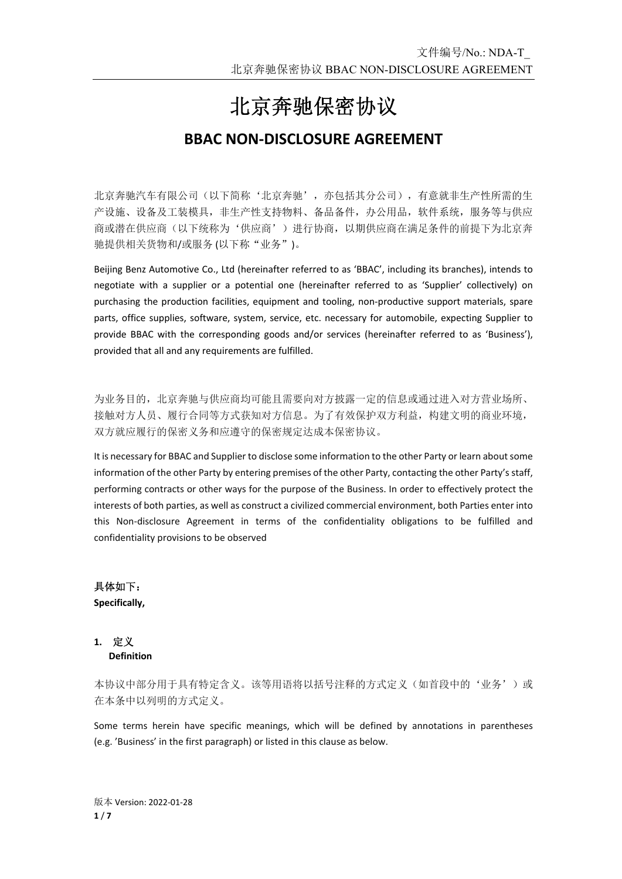# 北京奔驰保密协议

## **BBAC NON‐DISCLOSURE AGREEMENT**

北京奔驰汽车有限公司(以下简称'北京奔驰',亦包括其分公司),有意就非生产性所需的生 产设施、设备及工装模具,非生产性支持物料、备品备件,办公用品,软件系统,服务等与供应 商或潜在供应商(以下统称为'供应商')进行协商,以期供应商在满足条件的前提下为北京奔 驰提供相关货物和/或服务 (以下称"业务")。

Beijing Benz Automotive Co., Ltd (hereinafter referred to as 'BBAC', including its branches), intends to negotiate with a supplier or a potential one (hereinafter referred to as 'Supplier' collectively) on purchasing the production facilities, equipment and tooling, non-productive support materials, spare parts, office supplies, software, system, service, etc. necessary for automobile, expecting Supplier to provide BBAC with the corresponding goods and/or services (hereinafter referred to as 'Business'), provided that all and any requirements are fulfilled.

为业务目的,北京奔驰与供应商均可能且需要向对方披露一定的信息或通过进入对方营业场所、 接触对方人员、履行合同等方式获知对方信息。为了有效保护双方利益,构建文明的商业环境, 双方就应履行的保密义务和应遵守的保密规定达成本保密协议。

It is necessary for BBAC and Supplier to disclose some information to the other Party or learn about some information of the other Party by entering premises of the other Party, contacting the other Party's staff, performing contracts or other ways for the purpose of the Business. In order to effectively protect the interests of both parties, as well as construct a civilized commercial environment, both Parties enter into this Non‐disclosure Agreement in terms of the confidentiality obligations to be fulfilled and confidentiality provisions to be observed

具体如下: **Specifically,** 

#### **1.** 定义 **Definition**

本协议中部分用于具有特定含义。该等用语将以括号注释的方式定义(如首段中的'业务')或 在本条中以列明的方式定义。

Some terms herein have specific meanings, which will be defined by annotations in parentheses (e.g. 'Business' in the first paragraph) or listed in this clause as below.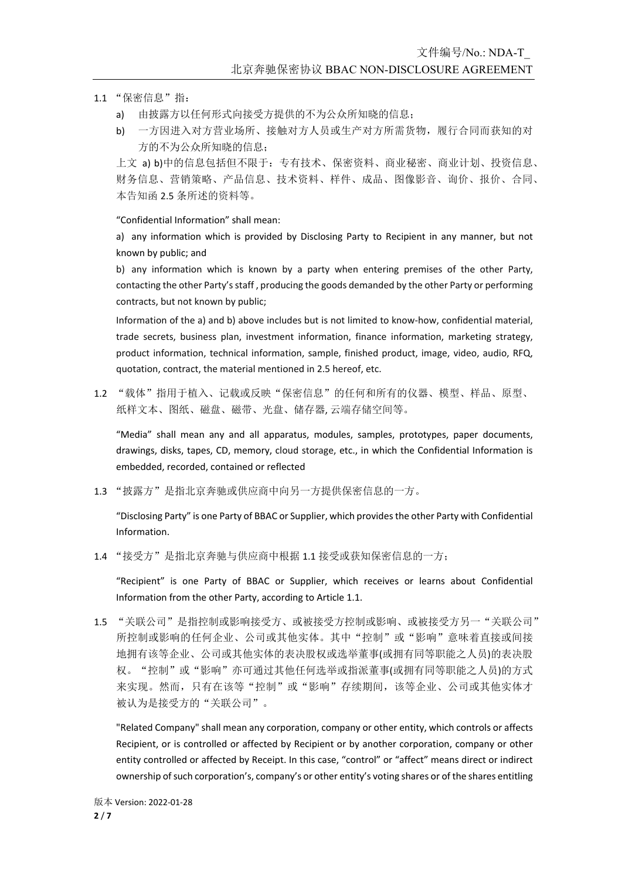- 1.1 "保密信息"指:
	- a) 由披露方以任何形式向接受方提供的不为公众所知晓的信息;
	- b) 一方因进入对方营业场所、接触对方人员或生产对方所需货物,履行合同而获知的对 方的不为公众所知晓的信息;

上文 a) b)中的信息包括但不限于:专有技术、保密资料、商业秘密、商业计划、投资信息、 财务信息、营销策略、产品信息、技术资料、样件、成品、图像影音、询价、报价、合同、 本告知函 2.5 条所述的资料等。

"Confidential Information" shall mean:

a) any information which is provided by Disclosing Party to Recipient in any manner, but not known by public; and

b) any information which is known by a party when entering premises of the other Party, contacting the other Party's staff , producing the goods demanded by the other Party or performing contracts, but not known by public;

Information of the a) and b) above includes but is not limited to know‐how, confidential material, trade secrets, business plan, investment information, finance information, marketing strategy, product information, technical information, sample, finished product, image, video, audio, RFQ, quotation, contract, the material mentioned in 2.5 hereof, etc.

1.2 "载体"指用于植入、记载或反映"保密信息"的任何和所有的仪器、模型、样品、原型、 纸样文本、图纸、磁盘、磁带、光盘、储存器, 云端存储空间等。

"Media" shall mean any and all apparatus, modules, samples, prototypes, paper documents, drawings, disks, tapes, CD, memory, cloud storage, etc., in which the Confidential Information is embedded, recorded, contained or reflected

1.3 "披露方"是指北京奔驰或供应商中向另一方提供保密信息的一方。

"Disclosing Party" is one Party of BBAC or Supplier, which provides the other Party with Confidential Information.

1.4 "接受方"是指北京奔驰与供应商中根据 1.1 接受或获知保密信息的一方;

"Recipient" is one Party of BBAC or Supplier, which receives or learns about Confidential Information from the other Party, according to Article 1.1.

1.5 "关联公司"是指控制或影响接受方、或被接受方控制或影响、或被接受方另一"关联公司" 所控制或影响的任何企业、公司或其他实体。其中"控制"或"影响"意味着直接或间接 地拥有该等企业、公司或其他实体的表决股权或选举董事(或拥有同等职能之人员)的表决股 权。"控制"或"影响"亦可通过其他任何选举或指派董事(或拥有同等职能之人员)的方式 来实现。然而,只有在该等"控制"或"影响"存续期间,该等企业、公司或其他实体才 被认为是接受方的"关联公司"。

"Related Company" shall mean any corporation, company or other entity, which controls or affects Recipient, or is controlled or affected by Recipient or by another corporation, company or other entity controlled or affected by Receipt. In this case, "control" or "affect" means direct or indirect ownership of such corporation's, company's or other entity's voting shares or of the shares entitling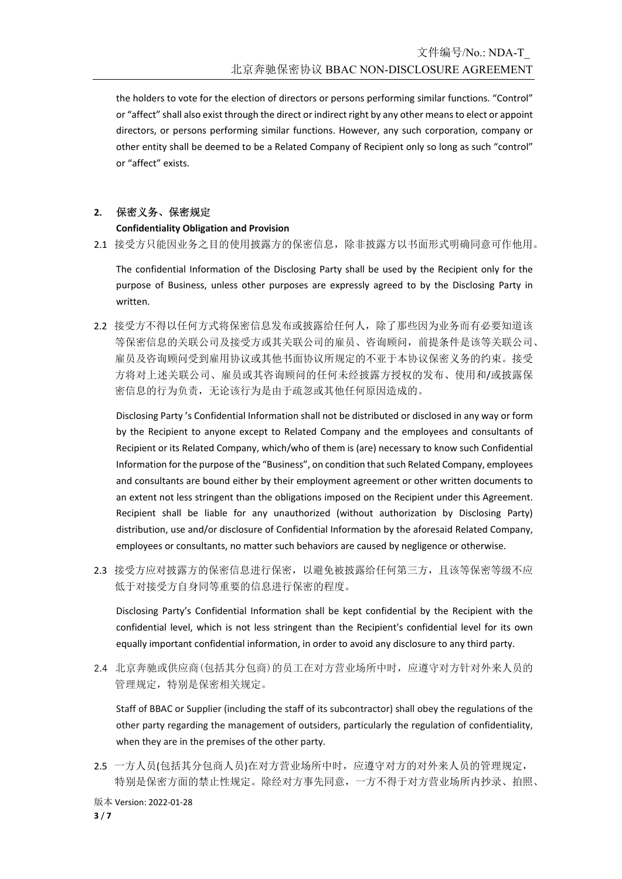the holders to vote for the election of directors or persons performing similar functions. "Control" or "affect" shall also exist through the direct or indirect right by any other means to elect or appoint directors, or persons performing similar functions. However, any such corporation, company or other entity shall be deemed to be a Related Company of Recipient only so long as such "control" or "affect" exists.

### **2.** 保密义务、保密规定

#### **Confidentiality Obligation and Provision**

2.1 接受方只能因业务之目的使用披露方的保密信息,除非披露方以书面形式明确同意可作他用。

The confidential Information of the Disclosing Party shall be used by the Recipient only for the purpose of Business, unless other purposes are expressly agreed to by the Disclosing Party in written.

2.2 接受方不得以任何方式将保密信息发布或披露给任何人,除了那些因为业务而有必要知道该 等保密信息的关联公司及接受方或其关联公司的雇员、咨询顾问,前提条件是该等关联公司、 雇员及咨询顾问受到雇用协议或其他书面协议所规定的不亚于本协议保密义务的约束。接受 方将对上述关联公司、雇员或其咨询顾问的任何未经披露方授权的发布、使用和/或披露保 密信息的行为负责,无论该行为是由于疏忽或其他任何原因造成的。

Disclosing Party 's Confidential Information shall not be distributed or disclosed in any way or form by the Recipient to anyone except to Related Company and the employees and consultants of Recipient or its Related Company, which/who of them is (are) necessary to know such Confidential Information for the purpose of the "Business", on condition that such Related Company, employees and consultants are bound either by their employment agreement or other written documents to an extent not less stringent than the obligations imposed on the Recipient under this Agreement. Recipient shall be liable for any unauthorized (without authorization by Disclosing Party) distribution, use and/or disclosure of Confidential Information by the aforesaid Related Company, employees or consultants, no matter such behaviors are caused by negligence or otherwise.

2.3 接受方应对披露方的保密信息进行保密,以避免被披露给任何第三方,且该等保密等级不应 低于对接受方自身同等重要的信息进行保密的程度。

Disclosing Party's Confidential Information shall be kept confidential by the Recipient with the confidential level, which is not less stringent than the Recipient's confidential level for its own equally important confidential information, in order to avoid any disclosure to any third party.

2.4 北京奔驰或供应商(包括其分包商)的员工在对方营业场所中时,应遵守对方针对外来人员的 管理规定,特别是保密相关规定。

Staff of BBAC or Supplier (including the staff of its subcontractor) shall obey the regulations of the other party regarding the management of outsiders, particularly the regulation of confidentiality, when they are in the premises of the other party.

2.5 一方人员(包括其分包商人员)在对方营业场所中时,应遵守对方的对外来人员的管理规定, 特别是保密方面的禁止性规定。除经对方事先同意,一方不得于对方营业场所内抄录、拍照、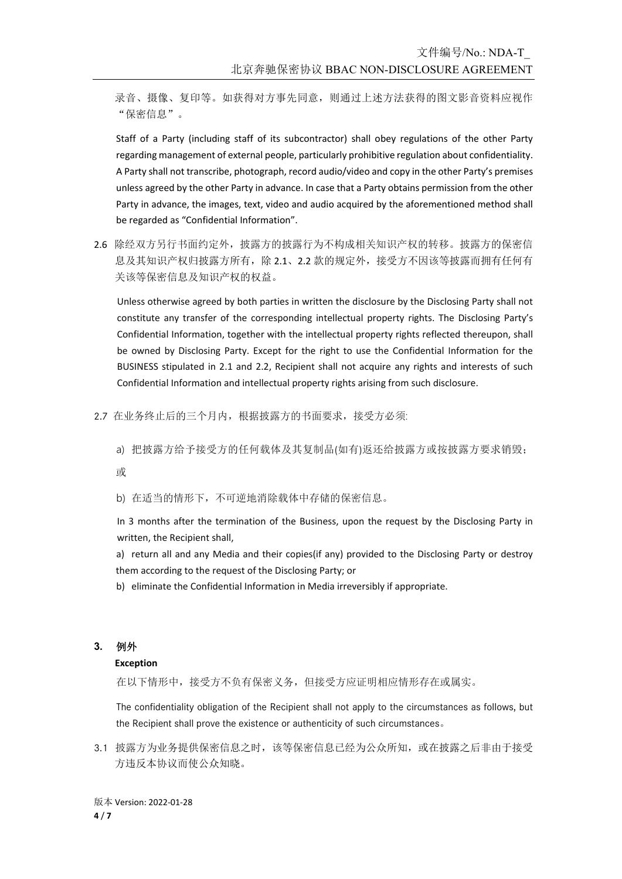录音、摄像、复印等。如获得对方事先同意,则通过上述方法获得的图文影音资料应视作 "保密信息"。

Staff of a Party (including staff of its subcontractor) shall obey regulations of the other Party regarding management of external people, particularly prohibitive regulation about confidentiality. A Party shall not transcribe, photograph, record audio/video and copy in the other Party's premises unless agreed by the other Party in advance. In case that a Party obtains permission from the other Party in advance, the images, text, video and audio acquired by the aforementioned method shall be regarded as "Confidential Information".

2.6 除经双方另行书面约定外,披露方的披露行为不构成相关知识产权的转移。披露方的保密信 息及其知识产权归披露方所有,除 2.1、2.2 款的规定外,接受方不因该等披露而拥有任何有 关该等保密信息及知识产权的权益。

Unless otherwise agreed by both parties in written the disclosure by the Disclosing Party shall not constitute any transfer of the corresponding intellectual property rights. The Disclosing Party's Confidential Information, together with the intellectual property rights reflected thereupon, shall be owned by Disclosing Party. Except for the right to use the Confidential Information for the BUSINESS stipulated in 2.1 and 2.2, Recipient shall not acquire any rights and interests of such Confidential Information and intellectual property rights arising from such disclosure.

- 2.7 在业务终止后的三个月内,根据披露方的书面要求,接受方必须:
	- a) 把披露方给予接受方的任何载体及其复制品(如有)返还给披露方或按披露方要求销毁;

或

b) 在适当的情形下,不可逆地消除载体中存储的保密信息。

In 3 months after the termination of the Business, upon the request by the Disclosing Party in written, the Recipient shall,

a) return all and any Media and their copies(if any) provided to the Disclosing Party or destroy them according to the request of the Disclosing Party; or

b) eliminate the Confidential Information in Media irreversibly if appropriate.

#### **3.** 例外

#### **Exception**

在以下情形中,接受方不负有保密义务,但接受方应证明相应情形存在或属实。

The confidentiality obligation of the Recipient shall not apply to the circumstances as follows, but the Recipient shall prove the existence or authenticity of such circumstances。

3.1 披露方为业务提供保密信息之时,该等保密信息已经为公众所知,或在披露之后非由于接受 方违反本协议而使公众知晓。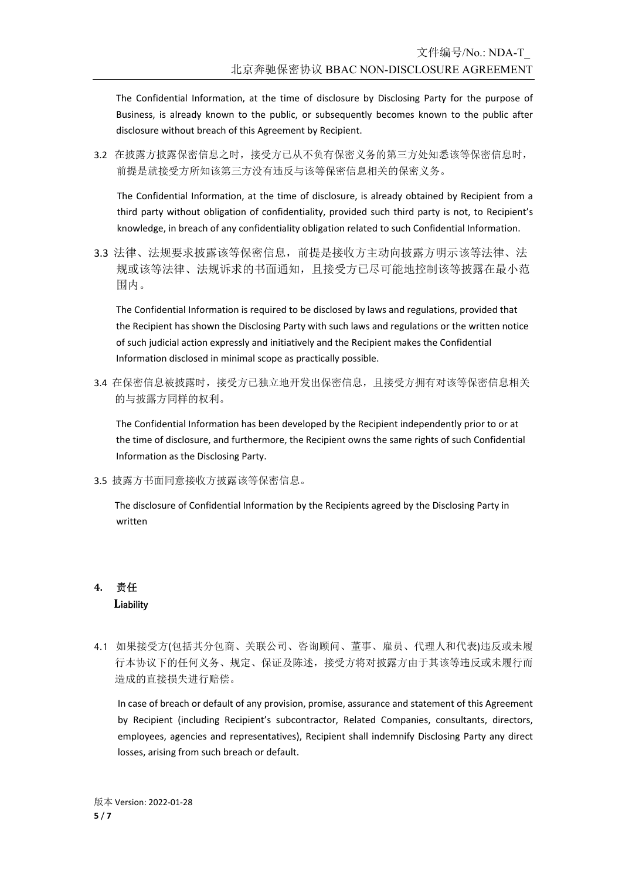The Confidential Information, at the time of disclosure by Disclosing Party for the purpose of Business, is already known to the public, or subsequently becomes known to the public after disclosure without breach of this Agreement by Recipient.

3.2 在披露方披露保密信息之时,接受方已从不负有保密义务的第三方处知悉该等保密信息时, 前提是就接受方所知该第三方没有违反与该等保密信息相关的保密义务。

The Confidential Information, at the time of disclosure, is already obtained by Recipient from a third party without obligation of confidentiality, provided such third party is not, to Recipient's knowledge, in breach of any confidentiality obligation related to such Confidential Information.

3.3 法律、法规要求披露该等保密信息,前提是接收方主动向披露方明示该等法律、法 规或该等法律、法规诉求的书面通知,且接受方已尽可能地控制该等披露在最小范 围内。

The Confidential Information is required to be disclosed by laws and regulations, provided that the Recipient has shown the Disclosing Party with such laws and regulations or the written notice of such judicial action expressly and initiatively and the Recipient makes the Confidential Information disclosed in minimal scope as practically possible.

3.4 在保密信息被披露时,接受方己独立地开发出保密信息,且接受方拥有对该等保密信息相关 的与披露方同样的权利。

The Confidential Information has been developed by the Recipient independently prior to or at the time of disclosure, and furthermore, the Recipient owns the same rights of such Confidential Information as the Disclosing Party.

3.5 披露方书面同意接收方披露该等保密信息。

The disclosure of Confidential Information by the Recipients agreed by the Disclosing Party in written

## **4.** 责任 **L**iability

4.1 如果接受方(包括其分包商、关联公司、咨询顾问、董事、雇员、代理人和代表)违反或未履 行本协议下的任何义务、规定、保证及陈述,接受方将对披露方由于其该等违反或未履行而 造成的直接损失进行赔偿。

In case of breach or default of any provision, promise, assurance and statement of this Agreement by Recipient (including Recipient's subcontractor, Related Companies, consultants, directors, employees, agencies and representatives), Recipient shall indemnify Disclosing Party any direct losses, arising from such breach or default.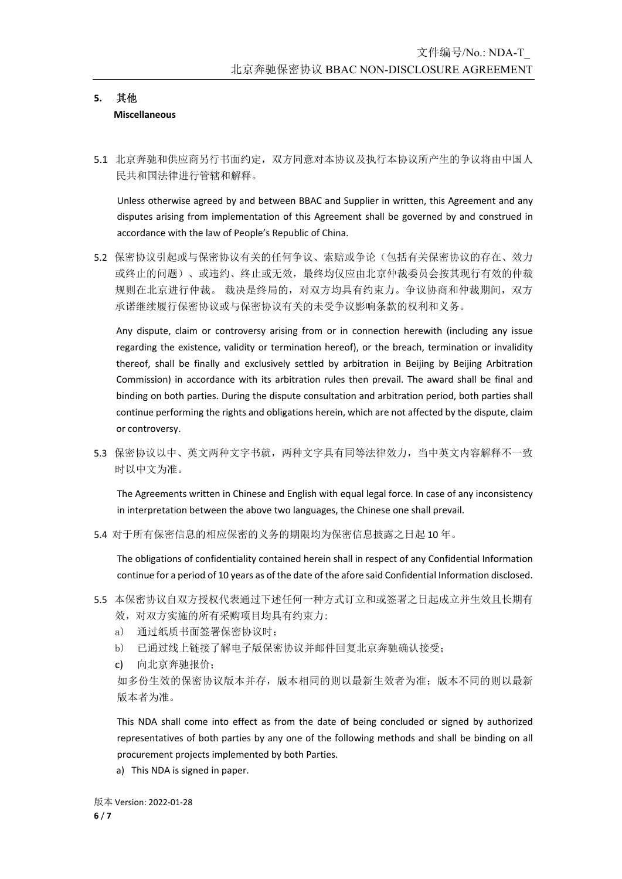#### **5.** 其他 **Miscellaneous**

5.1 北京奔驰和供应商另行书面约定,双方同意对本协议及执行本协议所产生的争议将由中国人 民共和国法律进行管辖和解释。

Unless otherwise agreed by and between BBAC and Supplier in written, this Agreement and any disputes arising from implementation of this Agreement shall be governed by and construed in accordance with the law of People's Republic of China.

5.2 保密协议引起或与保密协议有关的任何争议、索赔或争论(包括有关保密协议的存在、效力 或终止的问题)、或违约、终止或无效,最终均仅应由北京仲裁委员会按其现行有效的仲裁 规则在北京进行仲裁。 裁决是终局的,对双方均具有约束力。争议协商和仲裁期间,双方 承诺继续履行保密协议或与保密协议有关的未受争议影响条款的权利和义务。

Any dispute, claim or controversy arising from or in connection herewith (including any issue regarding the existence, validity or termination hereof), or the breach, termination or invalidity thereof, shall be finally and exclusively settled by arbitration in Beijing by Beijing Arbitration Commission) in accordance with its arbitration rules then prevail. The award shall be final and binding on both parties. During the dispute consultation and arbitration period, both parties shall continue performing the rights and obligations herein, which are not affected by the dispute, claim or controversy.

5.3 保密协议以中、英文两种文字书就,两种文字具有同等法律效力,当中英文内容解释不一致 时以中文为准。

The Agreements written in Chinese and English with equal legal force. In case of any inconsistency in interpretation between the above two languages, the Chinese one shall prevail.

5.4 对于所有保密信息的相应保密的义务的期限均为保密信息披露之日起 10 年。

The obligations of confidentiality contained herein shall in respect of any Confidential Information continue for a period of 10 years as of the date of the afore said Confidential Information disclosed.

- 5.5 本保密协议自双方授权代表通过下述任何一种方式订立和或签署之日起成立并生效且长期有 效,对双方实施的所有采购项目均具有约束力:
	- a) 通过纸质书面签署保密协议时;
	- b) 已通过线上链接了解电子版保密协议并邮件回复北京奔驰确认接受;
	- c) 向北京奔驰报价;

如多份生效的保密协议版本并存,版本相同的则以最新生效者为准;版本不同的则以最新 版本者为准。

This NDA shall come into effect as from the date of being concluded or signed by authorized representatives of both parties by any one of the following methods and shall be binding on all procurement projects implemented by both Parties.

a) This NDA is signed in paper.